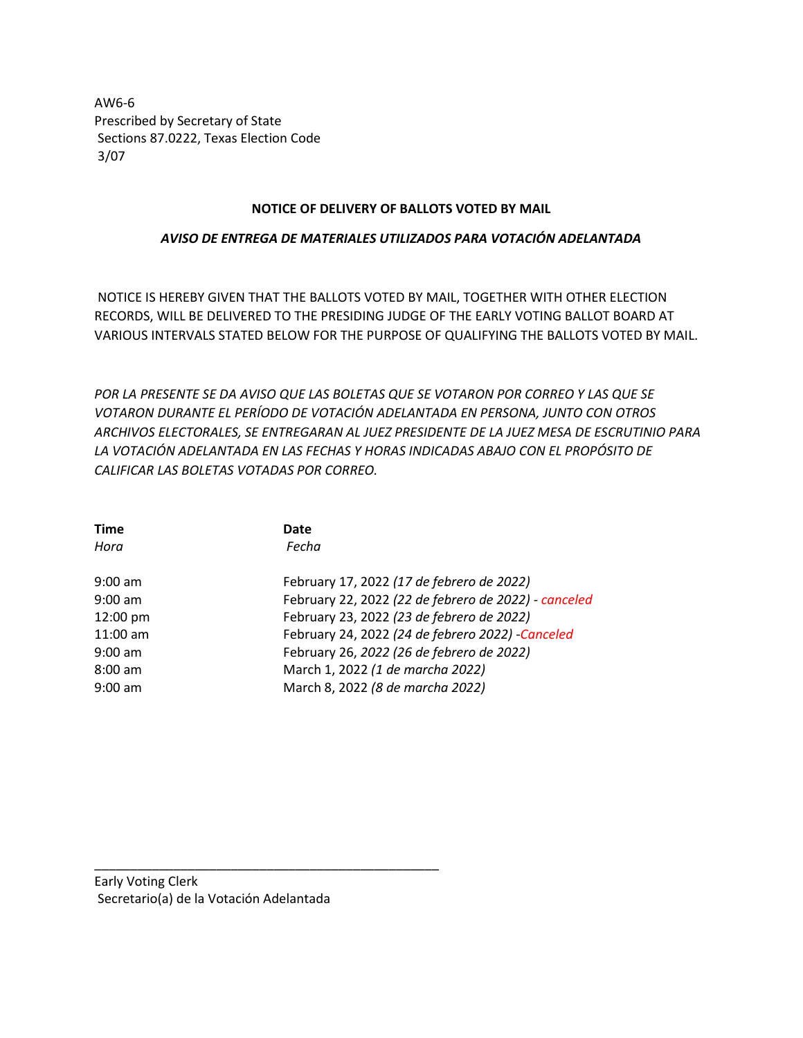AW6-6 Prescribed by Secretary of State Sections 87.0222, Texas Election Code 3/07

## **NOTICE OF DELIVERY OF BALLOTS VOTED BY MAIL**

## *AVISO DE ENTREGA DE MATERIALES UTILIZADOS PARA VOTACIÓN ADELANTADA*

NOTICE IS HEREBY GIVEN THAT THE BALLOTS VOTED BY MAIL, TOGETHER WITH OTHER ELECTION RECORDS, WILL BE DELIVERED TO THE PRESIDING JUDGE OF THE EARLY VOTING BALLOT BOARD AT VARIOUS INTERVALS STATED BELOW FOR THE PURPOSE OF QUALIFYING THE BALLOTS VOTED BY MAIL.

*POR LA PRESENTE SE DA AVISO QUE LAS BOLETAS QUE SE VOTARON POR CORREO Y LAS QUE SE VOTARON DURANTE EL PERÍODO DE VOTACIÓN ADELANTADA EN PERSONA, JUNTO CON OTROS ARCHIVOS ELECTORALES, SE ENTREGARAN AL JUEZ PRESIDENTE DE LA JUEZ MESA DE ESCRUTINIO PARA LA VOTACIÓN ADELANTADA EN LAS FECHAS Y HORAS INDICADAS ABAJO CON EL PROPÓSITO DE CALIFICAR LAS BOLETAS VOTADAS POR CORREO.* 

| <b>Time</b>        | Date                                                 |
|--------------------|------------------------------------------------------|
| Hora               | Fecha                                                |
| $9:00$ am          | February 17, 2022 (17 de febrero de 2022)            |
| $9:00$ am          | February 22, 2022 (22 de febrero de 2022) - canceled |
| $12:00 \text{ pm}$ | February 23, 2022 (23 de febrero de 2022)            |
| $11:00$ am         | February 24, 2022 (24 de febrero 2022) -Canceled     |
| $9:00 \text{ am}$  | February 26, 2022 (26 de febrero de 2022)            |
| $8:00 \text{ am}$  | March 1, 2022 (1 de marcha 2022)                     |
| $9:00 \text{ am}$  | March 8, 2022 (8 de marcha 2022)                     |

\_\_\_\_\_\_\_\_\_\_\_\_\_\_\_\_\_\_\_\_\_\_\_\_\_\_\_\_\_\_\_\_\_\_\_\_\_\_\_\_\_\_\_\_\_\_\_\_